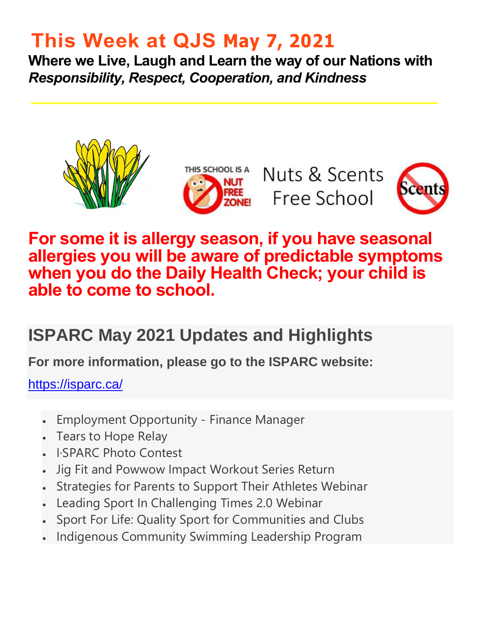# **This Week at QJS May 7, 2021**

**Where we Live, Laugh and Learn the way of our Nations with**  *Responsibility, Respect, Cooperation, and Kindness* 



### **For some it is allergy season, if you have seasonal allergies you will be aware of predictable symptoms when you do the Daily Health Check; your child is able to come to school.**

## **ISPARC May 2021 Updates and Highlights**

**For more information, please go to the ISPARC website:** 

<https://isparc.ca/>

- Employment Opportunity Finance Manager
- Tears to Hope Relay
- I·SPARC Photo Contest
- Jig Fit and Powwow Impact Workout Series Return
- Strategies for Parents to Support Their Athletes Webinar
- Leading Sport In Challenging Times 2.0 Webinar
- Sport For Life: Quality Sport for Communities and Clubs
- Indigenous Community Swimming Leadership Program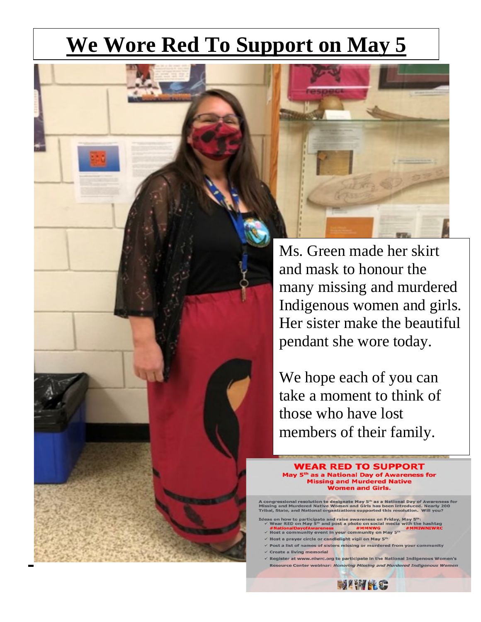# **We Wore Red To Support on May 5**



Ms. Green made her skirt and mask to honour the many missing and murdered Indigenous women and girls. Her sister make the beautiful pendant she wore today.

We hope each of you can take a moment to think of those who have lost members of their family.

**WEAR RED TO SUPPORT** May 5<sup>th</sup> as a National Day of Awareness for Missing and Murdered Native<br>Women and Girls.

A congressional resolution to designate May 5<sup>th</sup> as a National Day of Awareness for<br>Missing and Murdered Native Women and Girls has been introduced. Nearly 200<br>Tribal, State, and National organizations supported this reso

- eas on how to participate and raise awareness on Friday, May 5<sup>th</sup>:<br>
Wear RED on May 5<sup>th</sup> and post a photo on social media with the hashtag<br>
#NationalDayofAwareness<br>
#Nost a community event in your community on May 5<sup>th</sup><br>
- 
- st a prayer circle or candlelight vigil on May 5<sup>th</sup>
- a list of names of sisters missing or murdered from your community
- ate a living memorial
- Register at www.niwrc.org to participate in the National Indigenous Women's Resource Center webinar: Honoring Missing and Murdered Indigenous Women

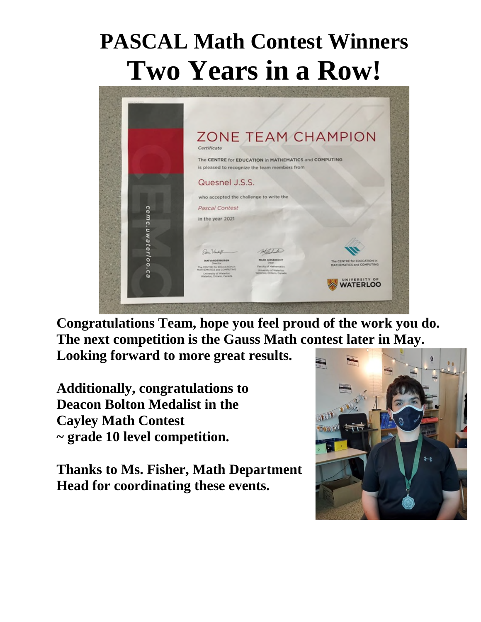# **PASCAL Math Contest Winners Two Years in a Row!**



**Congratulations Team, hope you feel proud of the work you do. The next competition is the Gauss Math contest later in May.** 

**Looking forward to more great results.** 

**Additionally, congratulations to Deacon Bolton Medalist in the Cayley Math Contest ~ grade 10 level competition.** 

**Thanks to Ms. Fisher, Math Department Head for coordinating these events.** 

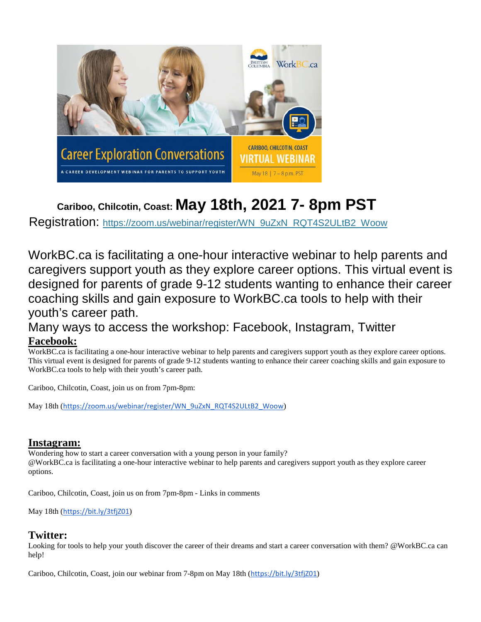

### **Cariboo, Chilcotin, Coast: May 18th, 2021 7- 8pm PST**

Registration: [https://zoom.us/webinar/register/WN\\_9uZxN\\_RQT4S2ULtB2\\_Woow](https://zoom.us/webinar/register/WN_9uZxN_RQT4S2ULtB2_Woow)

WorkBC.ca is facilitating a one-hour interactive webinar to help parents and caregivers support youth as they explore career options. This virtual event is designed for parents of grade 9-12 students wanting to enhance their career coaching skills and gain exposure to WorkBC.ca tools to help with their youth's career path.

### Many ways to access the workshop: Facebook, Instagram, Twitter **Facebook:**

WorkBC.ca is facilitating a one-hour interactive webinar to help parents and caregivers support youth as they explore career options. This virtual event is designed for parents of grade 9-12 students wanting to enhance their career coaching skills and gain exposure to WorkBC.ca tools to help with their youth's career path.

Cariboo, Chilcotin, Coast, join us on from 7pm-8pm:

May 18th ([https://zoom.us/webinar/register/WN\\_9uZxN\\_RQT4S2ULtB2\\_Woow](https://zoom.us/webinar/register/WN_9uZxN_RQT4S2ULtB2_Woow))

#### **Instagram:**

Wondering how to start a career conversation with a young person in your family? @WorkBC.ca is facilitating a one-hour interactive webinar to help parents and caregivers support youth as they explore career options.

Cariboo, Chilcotin, Coast, join us on from 7pm-8pm - Links in comments

May 18th (<https://bit.ly/3tfjZ01>)

#### **Twitter:**

Looking for tools to help your youth discover the career of their dreams and start a career conversation with them? @WorkBC.ca can help!

Cariboo, Chilcotin, Coast, join our webinar from 7-8pm on May 18th (<https://bit.ly/3tfjZ01>)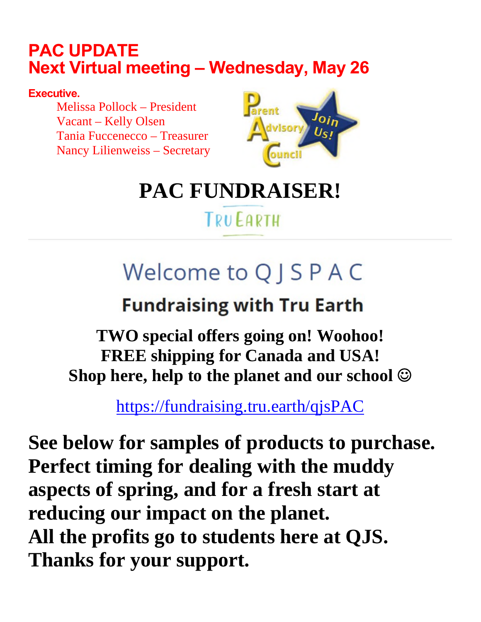### **PAC UPDATE Next Virtual meeting – Wednesday, May 26**

### **Executive.**

Melissa Pollock – President Vacant – Kelly Olsen Tania Fuccenecco – Treasurer Nancy Lilienweiss – Secretary



# **PAC FUNDRAISER!**

## **TRUEARTH**

# Welcome to Q J S P A C

# **Fundraising with Tru Earth**

**TWO special offers going on! Woohoo! FREE shipping for Canada and USA! Shop here, help to the planet and our school** 

<https://fundraising.tru.earth/qjsPAC>

**See below for samples of products to purchase. Perfect timing for dealing with the muddy aspects of spring, and for a fresh start at reducing our impact on the planet. All the profits go to students here at QJS. Thanks for your support.**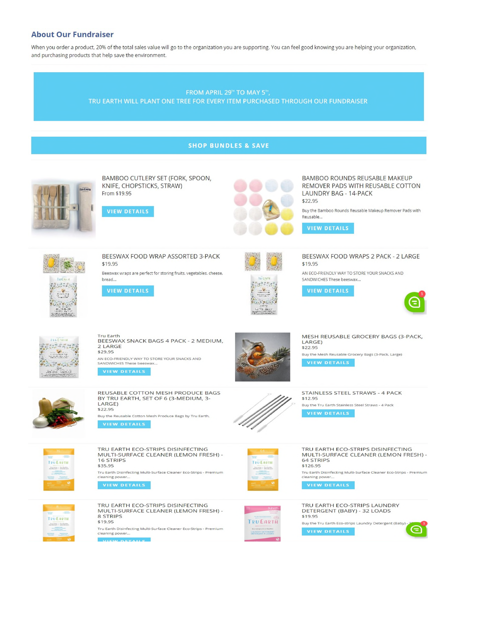#### **About Our Fundraiser**

When you order a product, 20% of the total sales value will go to the organization you are supporting. You can feel good knowing you are helping your organization, and purchasing products that help save the environment.

#### FROM APRIL 29<sup>th</sup> TO MAY 5<sup>th</sup>, TRU EARTH WILL PLANT ONE TREE FOR EVERY ITEM PURCHASED THROUGH OUR FUNDRAISER

#### **SHOP BUNDLES & SAVE**



BAMBOO CUTLERY SET (FORK, SPOON, KNIFE, CHOPSTICKS, STRAW) From \$19.95





BAMBOO ROUNDS REUSABLE MAKEUP REMOVER PADS WITH REUSABLE COTTON **LAUNDRY BAG - 14-PACK** \$22.95

Buy the Bamboo Rounds Reusable Makeup Remover Pads with Reusable...



 $\begin{picture}(20,20) \put(0,0){\line(1,0){10}} \put(15,0){\line(1,0){10}} \put(15,0){\line(1,0){10}} \put(15,0){\line(1,0){10}} \put(15,0){\line(1,0){10}} \put(15,0){\line(1,0){10}} \put(15,0){\line(1,0){10}} \put(15,0){\line(1,0){10}} \put(15,0){\line(1,0){10}} \put(15,0){\line(1,0){10}} \put(15,0){\line(1,0){10}} \put(15,0){\line(1$ 

BEESWAX FOOD WRAP ASSORTED 3-PACK \$19.95

Beeswax wraps are perfect for storing fruits, vegetables, cheese, bread...

**VIEW DETAILS** 



BEESWAX FOOD WRAPS 2 PACK - 2 LARGE \$19.95

AN ECO-FRIENDLY WAY TO STORE YOUR SNACKS AND SANDWICHES These beeswax...

**VIEW DETAILS** 





Tru Earth<br>BEESWAX SNACK BAGS 4 PACK - 2 MEDIUM, 2 LARGE \$29.95

REUSABLE COTTON MESH PRODUCE BAGS

BY TRU EARTH, SET OF 6 (3-MEDIUM, 3-

Buy the Reusable Cotton Mesh Produce Bags by Tru Earth.

TRU EARTH ECO-STRIPS DISINFECTING

MULTI-SURFACE CLEANER (LEMON FRESH) -

AN ECO-FRIENDLY WAY TO STORE YOUR SNACKS AND<br>SANDWICHES These beeswax...

VIEW DETAILS

LARGE)

16 STRIPS

\$35.95

\$22.95



**TRUEARTH** 

Anoman | Societies

MESH REUSABLE GROCERY BAGS (3-PACK, LARGE) \$22.95

Buy the Mesh Reusable Grocery Bags (3-Pack, Large)

STAINLESS STEEL STRAWS - 4 PACK \$12.95 Buy the Tru Earth Stainless Steel Straws - 4 Pack VIEW DETAILS

TRU EARTH ECO-STRIPS DISINFECTING MULTI-SURFACE CLEANER (LEMON FRESH) -64 STRIPS \$126.95 Tru Earth Disinfecting Multi-Surface Cleaner Eco-Strips - Premium<br>cleaning power...

**VIEW DETAILS** 

TRU EARTH ECO-STRIPS LAUNDRY DETERGENT (BABY) - 32 LOADS \$19.95 Buy the Tru Earth Eco-strips Laundry Detergent (Baby)









**TRUEARTH** 

 $\begin{minipage}{.4\linewidth} \begin{tabular}{|c|c|} \hline \textbf{I} & \textbf{I} & \textbf{I} & \textbf{I} & \textbf{I} & \textbf{I} & \textbf{I} & \textbf{I} & \textbf{I} & \textbf{I} & \textbf{I} & \textbf{I} & \textbf{I} & \textbf{I} & \textbf{I} & \textbf{I} & \textbf{I} & \textbf{I} & \textbf{I} & \textbf{I} & \textbf{I} & \textbf{I} & \textbf{I} & \textbf{I} & \textbf{I} & \textbf{I} & \textbf{I} & \textbf{$ 

TRU EARTH ECO-STRIPS DISINFECTING MULTI-SURFACE CLEANER (LEMON FRESH) -8 STRIPS \$19.95 **TRUEARTH** Tru Earth Disinfecting Multi-Surface Cleaner Eco-Strips - Premium cleaning power..  $\sim$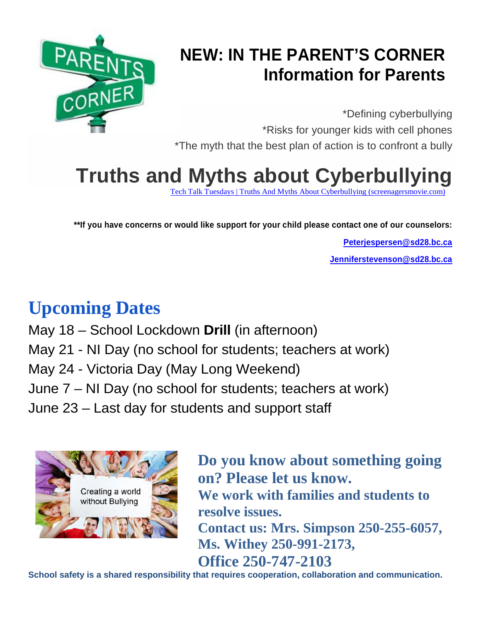

## **NEW: IN THE PARENT'S CORNER Information for Parents**

\*Defining cyberbullying \*Risks for younger kids with cell phones \*The myth that the best plan of action is to confront a bully

# **Truths and Myths about Cyberbullying**

[Tech Talk Tuesdays | Truths And Myths About Cyberbullying \(screenagersmovie.com\)](https://www.screenagersmovie.com/blog/truths-and-myths-about-cyberbullying?utm_source=TTT+and+Movie&utm_campaign=487aecc17b-TTT+271+Anxiety_COPY_03&utm_medium=email&utm_term=0_47a75fcc99-487aecc17b-160922085&mc_cid=487aecc17b&mc_eid=e21bafb256)

**\*\*If you have concerns or would like support for your child please contact one of our counselors:** 

**[Peterjespersen@sd28.bc.ca](mailto:Peterjespersen@sd28.bc.ca) [Jenniferstevenson@sd28.bc.ca](mailto:Jenniferstevenson@sd28.bc.ca)**

# **Upcoming Dates**

May 18 – School Lockdown **Drill** (in afternoon) May 21 - NI Day (no school for students; teachers at work) May 24 - Victoria Day (May Long Weekend) June 7 – NI Day (no school for students; teachers at work) June 23 – Last day for students and support staff



**Do you know about something going on? Please let us know. We work with families and students to resolve issues. Contact us: Mrs. Simpson 250-255-6057, Ms. Withey 250-991-2173, Office 250-747-2103** 

**School safety is a shared responsibility that requires cooperation, collaboration and communication.**